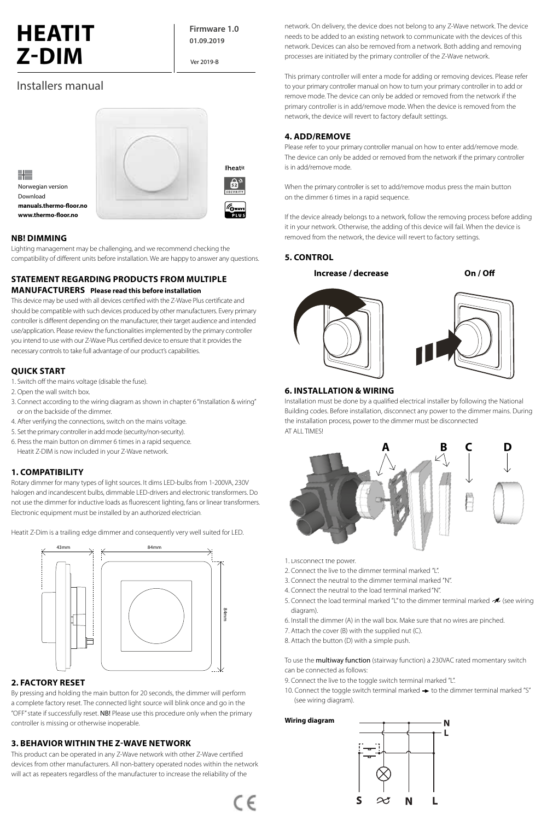# **HEATIT Z-DIM**

**Firmware 1.0 01.09.2019**

Ver 2019-B

## Installers manual



## **NB! DIMMING**

Lighting management may be challenging, and we recommend checking the compatibility of different units before installation. We are happy to answer any questions.

## **STATEMENT REGARDING PRODUCTS FROM MULTIPLE MANUFACTURERS** Please read this before installation

This device may be used with all devices certified with the Z-Wave Plus certificate and should be compatible with such devices produced by other manufacturers. Every primary **0** and a be comparable with such devices produced by other manufacturers. Every primary controller is different depending on the manufacturer, their target audience and intended use/application. Please review the functionalities implemented by the primary controller Increase / Decrease Lyskilde/transformator med 12V pære **A B C D E** Off / On you intend to use with our Z-Wave Plus certified device to ensure that it provides the necessary controls to take full advantage of our product's capabilities.

## **QUICK START**

- 1. Switch off the mains voltage (disable the fuse).
- 2. Open the wall switch box.
- 3. Connect according to the wiring diagram as shown in chapter 6 "Installation & wiring" or on the backside of the dimmer.
- 4. After verifying the connections, switch on the mains voltage.
- 4. Arter ventying the connections, switch on the mains voltage.<br>5. Set the primary controller in add mode (security/non-security).
- For the main button on dimmer 6 times in a rapid sequence.<br>
For light source in a rapid sequence. Heatit Z-DIM is now included in your Z-Wave network.

## **1. COMPATIBILITY**

Rotary dimmer for many types of light sources. It dims LED-bulbs from 1-200VA, 230V halogen and incandescent bulbs, dimmable LED-drivers and electronic transformers. Do not use the dimmer for inductive loads as fluorescent lighting, fans or linear transformers. Electronic equipment must be installed by an authorized electrician.

Heatit Z-Dim is a trailing edge dimmer and consequently very well suited for LED.



## **2. FACTORY RESET**

By pressing and holding the main button for 20 seconds, the dimmer will perform a complete factory reset. The connected light source will blink once and go in the "OFF" state if successfully reset. NB! Please use this procedure only when the primary controller is missing or otherwise inoperable.

## **3. BEHAVIOR WITHIN THE Z-WAVE NETWORK**

This product can be operated in any Z-Wave network with other Z-Wave certified devices from other manufacturers. All non-battery operated nodes within the network will act as repeaters regardless of the manufacturer to increase the reliability of the

network. On delivery, the device does not belong to any Z-Wave network. The device needs to be added to an existing network to communicate with the devices of this network. Devices can also be removed from a network. Both adding and removing processes are initiated by the primary controller of the Z-Wave network.

This primary controller will enter a mode for adding or removing devices. Please refer to your primary controller manual on how to turn your primary controller in to add or remove mode. The device can only be added or removed from the network if the primary controller is in add/remove mode. When the device is removed from the network, the device will revert to factory default settings.

## **4. ADD/REMOVE**

Please refer to your primary controller manual on how to enter add/remove mode. The device can only be added or removed from the network if the primary controller is in add/remove mode.

When the primary controller is set to add/remove modus press the main button on the dimmer 6 times in a rapid sequence.

If the device already belongs to a network, follow the removing process before adding it in your network. Otherwise, the adding of this device will fail. When the device is removed from the network, the device will revert to factory settings.

## **5. CONTROL**

**Increase / decrease On / Off**







## **6. INSTALLATION & WIRING**

Installation must be done by a qualified electrical installer by following the National Building codes. Before installation, disconnect any power to the dimmer mains. During the installation process, power to the dimmer must be disconnected AT ALL TIMES!



- 1. Disconnect the power.
- 2. Connect the live to the dimmer terminal marked "L".
- 3. Connect the neutral to the dimmer terminal marked "N".
- 4. Connect the neutral to the load terminal marked "N".
- 5. Connect the load terminal marked "L" to the dimmer terminal marked  $\mathcal A$  (see wiring diagram).
- 6. Install the dimmer (A) in the wall box. Make sure that no wires are pinched.
- 7. Attach the cover (B) with the supplied nut (C).
- 8. Attach the button (D) with a simple push.

To use the multiway function (stairway function) a 230VAC rated momentary switch can be connected as follows:

- 9. Connect the live to the toggle switch terminal marked "L".
- 10. Connect the toggle switch terminal marked  $\rightarrow$  to the dimmer terminal marked "S" (see wiring diagram).

**Wiring diagram**

 $C \in$ 

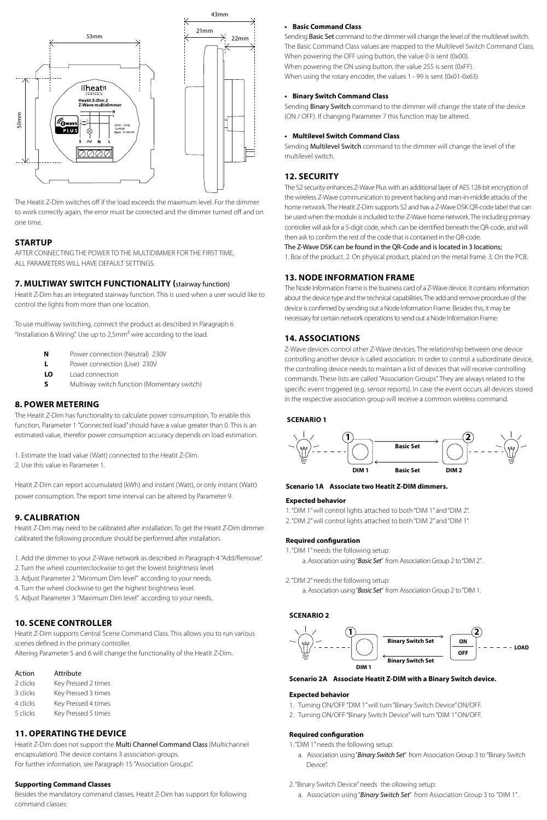

The Heatit Z-Dim switches off if the load exceeds the maximum level. For the dimmer to work correctly again, the error must be corrected and the dimmer turned off and on one time.

#### **STARTUP**

AFTER CONNECTING THE POWER TO THE MULTIDIMMER FOR THE FIRST TIME, ALL PARAMETERS WILL HAVE DEFAULT SETTINGS.

#### **7. MULTIWAY SWITCH FUNCTIONALITY (**stairway function)

Heatit Z-Dim has an integrated stairway function. This is used when a user would like to control the lights from more than one location.

To use multiway switching, connect the product as described in Paragraph 6 "Installation & Wiring". Use up to 2,5mm² wire according to the load.

- **N** Power connection (Neutral) 230V
- **L** Power connection (Live) 230V
- **LO** Load connection
- **S** Multiway switch function (Momentary switch)

## **8. POWER METERING**

The Heatit Z-Dim has functionality to calculate power consumption. To enable this function, Parameter 1 "Connected load" should have a value greater than 0. This is an estimated value, therefor power consumption accuracy depends on load estimation.

1. Estimate the load value (Watt) connected to the Heatit Z-Dim. 2. Use this value in Parameter 1.

Heatit Z-Dim can report accumulated (kWh) and instant (Watt), or only instant (Watt) power consumption. The report time interval can be altered by Parameter 9.

#### **9. CALIBRATION**

Heatit Z-Dim may need to be calibrated after installation. To get the Heatit Z-Dim dimmer calibrated the following procedure should be performed after installation.

- 1. Add the dimmer to your Z-Wave network as described in Paragraph 4 "Add/Remove".
- 2. Turn the wheel counterclockwise to get the lowest brightness level.
- 3. Adjust Parameter 2 "Minimum Dim level" according to your needs.
- 4. Turn the wheel clockwise to get the highest brightness level.
- 5. Adjust Parameter 3 "Maximum Dim level" according to your needs.

## **10. SCENE CONTROLLER**

Heatit Z-Dim supports Central Scene Command Class. This allows you to run various scenes defined in the primary controller.

Altering Parameter 5 and 6 will change the functionality of the Heatit Z-Dim.

| Action   | Attribute           |
|----------|---------------------|
| 2 clicks | Key Pressed 2 times |
| 3 clicks | Key Pressed 3 times |
| 4 clicks | Key Pressed 4 times |
| 5 clicks | Key Pressed 5 times |

## **11. OPERATING THE DEVICE**

Heatit Z-Dim does not support the **Multi Channel Command Class** (Multichannel) encapsulation). The device contains 3 association groups. For further information, see Paragraph 15 "Association Groups".

## **Supporting Command Classes**

Besides the mandatory command classes, Heatit Z-Dim has support for following command classes:

#### **• Basic Command Class**

Sendina Basic Set command to the dimmer will change the level of the multilevel switch. The Basic Command Class values are mapped to the Multilevel Switch Command Class. When powering the OFF using button, the value 0 is sent (0x00). When powering the ON using button, the value 255 is sent (0xFF). When using the rotary encoder, the values 1 - 99 is sent (0x01-0x63).

## **• Binary Switch Command Class**

Sending Binary Switch command to the dimmer will change the state of the device (ON / OFF). If changing Parameter 7 this function may be altered.

#### **• Multilevel Switch Command Class**

Sending Multilevel Switch command to the dimmer will change the level of the multilevel switch.

## **12. SECURITY**

The S2 security enhances Z-Wave Plus with an additional layer of AES 128-bit encryption of the wireless Z-Wave communication to prevent hacking and man-in-middle attacks of the home network. The Heatit Z-Dim supports S2 and has a Z-Wave DSK QR-code label that can be used when the module is included to the Z-Wave home network. The including primary controller will ask for a 5-digit code, which can be identified beneath the QR-code, and will then ask to confirm the rest of the code that is contained in the QR-code.

#### The Z-Wave DSK can be found in the QR-Code and is located in 3 locations;

1. Box of the product. 2. On physical product, placed on the metal frame. 3. On the PCB.

## **13. NODE INFORMATION FRAME**

The Node Information Frame is the business card of a Z-Wave device. It contains information about the device type and the technical capabilities. The add and remove procedure of the device is confirmed by sending out a Node Information Frame. Besides this, it may be necessary for certain network operations to send out a Node Information Frame.

#### **14. ASSOCIATIONS**

Z-Wave devices control other Z-Wave devices. The relationship between one device controlling another device is called association. In order to control a subordinate device, the controlling device needs to maintain a list of devices that will receive controlling commands. These lists are called "Association Groups". They are always related to the specific event triggered (e.g. sensor reports). In case the event occurs all devices stored in the respective association group will receive a common wireless command.

#### **SCENARIO 1**



#### **Scenario 1A Associate two Heatit Z-DIM dimmers.**

#### **Expected behavior**

- 1. "DIM 1" will control lights attached to both "DIM 1" and "DIM 2".
- 2. "DIM 2" will control lights attached to both "DIM 2" and "DIM 1".

#### **Required configuration**

- 1. "DIM 1" needs the following setup:
	- a. Association using "*Basic Set*" from Association Group 2 to "DIM 2" .
- 2. "DIM 2" needs the following setup:
	- a. Association using "*Basic Set*" from Association Group 2 to "DIM 1.

#### **SCENARIO 2**



#### **Scenario 2A Associate Heatit Z-DIM with a Binary Switch device.**

#### **Expected behavior**

- 1. Turning ON/OFF "DIM 1" will turn "Binary Switch Device" ON/OFF.
- 2. Turning ON/OFF "Binary Switch Device" will turn "DIM 1" ON/OFF.

#### **Required configuration**

- 1. "DIM 1" needs the following setup:
	- a. Association using "*Binary Switch Set*" from Association Group 3 to "Binary Switch Device".
- 2. "Binary Switch Device" needs the ollowing setup:
	- a. Association using "*Binary Switch Set*" from Association Group 3 to "DIM 1" .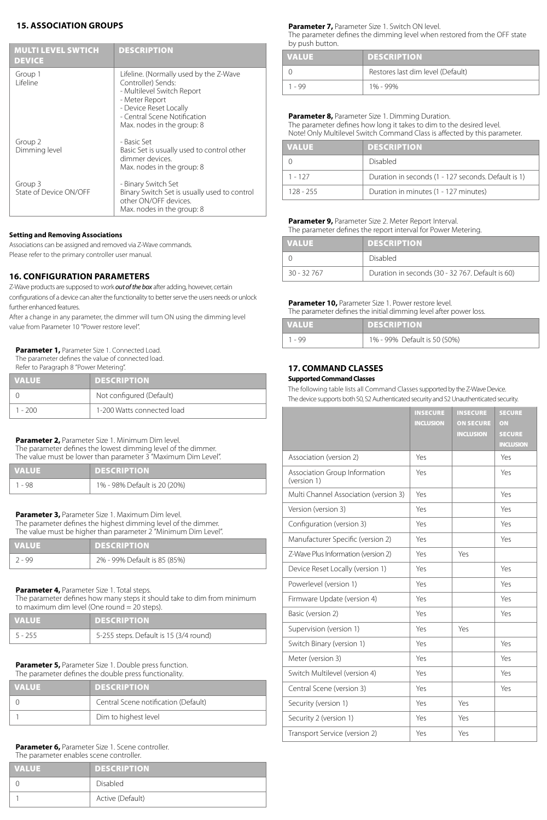## **15. ASSOCIATION GROUPS**

| <b>MULTI LEVEL SWTICH</b><br><b>DEVICE</b> | <b>DESCRIPTION</b>                                                                                                                                                                                   |
|--------------------------------------------|------------------------------------------------------------------------------------------------------------------------------------------------------------------------------------------------------|
| Group 1<br>I ifeline                       | Lifeline. (Normally used by the Z-Wave<br>Controller) Sends:<br>- Multilevel Switch Report<br>- Meter Report<br>- Device Reset Locally<br>- Central Scene Notification<br>Max. nodes in the group: 8 |
| Group 2<br>Dimming level                   | - Basic Set<br>Basic Set is usually used to control other<br>dimmer devices.<br>Max. nodes in the group: 8                                                                                           |
| Group 3<br>State of Device ON/OFF          | - Binary Switch Set<br>Binary Switch Set is usually used to control<br>other ON/OFF devices.<br>Max. nodes in the group: 8                                                                           |

#### **Setting and Removing Associations**

Associations can be assigned and removed via Z-Wave commands. Please refer to the primary controller user manual.

## **16. CONFIGURATION PARAMETERS**

Z-Wave products are supposed to work *out of the box* after adding, however, certain configurations of a device can alter the functionality to better serve the users needs or unlock further enhanced features.

After a change in any parameter, the dimmer will turn ON using the dimming level value from Parameter 10 "Power restore level".

**Parameter 1, Parameter Size 1. Connected Load.** 

The parameter defines the value of connected load. Refer to Paragraph 8 "Power Metering".

| <b>VALUE</b> | <b>DESCRIPTION</b>         |
|--------------|----------------------------|
|              | Not configured (Default)   |
| $1 - 200$    | 1-200 Watts connected load |

**Parameter 2,** Parameter Size 1. Minimum Dim level.

The parameter defines the lowest dimming level of the dimmer. The value must be lower than parameter 3 "Maximum Dim Level".

| <b>VALUE</b> | <b>DESCRIPTION</b>           |
|--------------|------------------------------|
| - 98         | 1% - 98% Default is 20 (20%) |

**Parameter 3,** Parameter Size 1. Maximum Dim level.

The parameter defines the highest dimming level of the dimmer. The value must be higher than parameter 2 "Minimum Dim Level".

| <b>VALUE</b> | <b>DESCRIPTION</b>           |
|--------------|------------------------------|
| $2 - 99$     | 2% - 99% Default is 85 (85%) |

**Parameter 4,** Parameter Size 1. Total steps.

The parameter defines how many steps it should take to dim from minimum<br>to maximum dim level (One round = 20 steps)  $t$  aximum dim level (One round  $-$ 

| to maximum all the vertone found $-$ zo steps). |                                        |  |
|-------------------------------------------------|----------------------------------------|--|
| <b>VALUE</b>                                    | <b>DESCRIPTION</b>                     |  |
| $5 - 255$                                       | 5-255 steps. Default is 15 (3/4 round) |  |

**Parameter 5, Parameter Size 1. Double press function.** The parameter defines the double press functionality.

| <b>VALUE</b> | <b>DESCRIPTION</b>                   |
|--------------|--------------------------------------|
|              | Central Scene notification (Default) |
|              | Dim to highest level                 |

#### **Parameter 6, Parameter Size 1. Scene controller.** The parameter enables scene controller.

| <b>VALUE</b> | <b>DESCRIPTION</b> |
|--------------|--------------------|
|              | <b>Disabled</b>    |
|              | Active (Default)   |

**Parameter 7, Parameter Size 1. Switch ON level.** 

The parameter defines the dimming level when restored from the OFF state by push button.

| <b>VALUE</b> | <b>DESCRIPTION</b>                |
|--------------|-----------------------------------|
|              | Restores last dim level (Default) |
| $1 - 99$     | 1% - 99%                          |

## **Parameter 8, Parameter Size 1. Dimming Duration.**

The parameter defines how long it takes to dim to the desired level. Note! Only Multilevel Switch Command Class is affected by this parameter.

| <b>VALUE</b> | <b>DESCRIPTION</b>                                  |
|--------------|-----------------------------------------------------|
|              | Disabled                                            |
| $1 - 127$    | Duration in seconds (1 - 127 seconds. Default is 1) |
| $128 - 255$  | Duration in minutes (1 - 127 minutes)               |

#### **Parameter 9, Parameter Size 2. Meter Report Interval.** The parameter defines the report interval for Power Metering.

| <b>VALUE</b> | <b>DESCRIPTION</b>                               |  |
|--------------|--------------------------------------------------|--|
|              | Disabled                                         |  |
| $30 - 32767$ | Duration in seconds (30 - 32 767. Default is 60) |  |

#### **Parameter 10, Parameter Size 1. Power restore level.**

The parameter defines the initial dimming level after power loss.

| <b>VALUE</b> | <b>DESCRIPTION</b>           |  |
|--------------|------------------------------|--|
| $1 - 99$     | 1% - 99% Default is 50 (50%) |  |

## **17. COMMAND CLASSES**

#### **Supported Command Classes**

The following table lists all Command Classes supported by the Z-Wave Device. The device supports both S0, S2 Authenticated security and S2 Unauthenticated security.

|                                              | <b>INSECURE</b><br><b>INCLUSION</b> | <b>INSECURE</b><br><b>ON SECURE</b><br><b>INCLUSION</b> | <b>SECURE</b><br>ON<br><b>SECURE</b><br><b>INCLUSION</b> |
|----------------------------------------------|-------------------------------------|---------------------------------------------------------|----------------------------------------------------------|
| Association (version 2)                      | Yes                                 |                                                         | Yes                                                      |
| Association Group Information<br>(version 1) | Yes                                 |                                                         | Yes                                                      |
| Multi Channel Association (version 3)        | Yes                                 |                                                         | Yes                                                      |
| Version (version 3)                          | Yes                                 |                                                         | Yes                                                      |
| Configuration (version 3)                    | Yes                                 |                                                         | Yes                                                      |
| Manufacturer Specific (version 2)            | Yes                                 |                                                         | Yes                                                      |
| Z-Wave Plus Information (version 2)          | Yes                                 | Yes                                                     |                                                          |
| Device Reset Locally (version 1)             | Yes                                 |                                                         | Yes                                                      |
| Powerlevel (version 1)                       | Yes                                 |                                                         | Yes                                                      |
| Firmware Update (version 4)                  | Yes                                 |                                                         | Yes                                                      |
| Basic (version 2)                            | Yes                                 |                                                         | Yes                                                      |
| Supervision (version 1)                      | Yes                                 | Yes                                                     |                                                          |
| Switch Binary (version 1)                    | Yes                                 |                                                         | Yes                                                      |
| Meter (version 3)                            | Yes                                 |                                                         | Yes                                                      |
| Switch Multilevel (version 4)                | Yes                                 |                                                         | Yes                                                      |
| Central Scene (version 3)                    | Yes                                 |                                                         | Yes                                                      |
| Security (version 1)                         | Yes                                 | Yes                                                     |                                                          |
| Security 2 (version 1)                       | Yes                                 | Yes                                                     |                                                          |
| Transport Service (version 2)                | Yes                                 | Yes                                                     |                                                          |